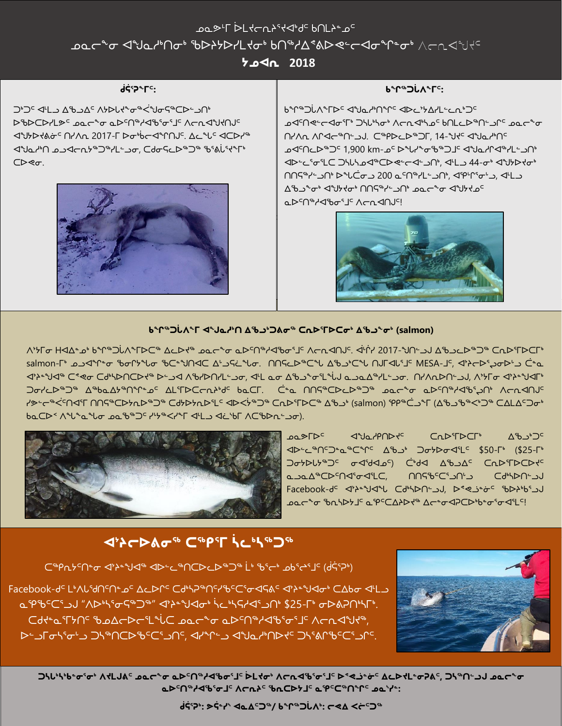# ᓄᓇᕗᒻᒥ ᐆᒪᔪᓕᕆᔨᕐᔪᐊᒃᑯᑦ ᑲᑎᒪᔨᓐᓄᑦ ᓄᓇᓕᖕᓂ ᐊᖑᓇᓱᒃᑎᓂᒃ ᖃᐅᔨᔭᐅᓯᒪᔪᓂᒃ ᑲᑎᖅᓱᐃᕝᕕᐅᕙᓪᓕᐊᓂᖏᓐᓂᒃ

**ᔭᓄᐊᕆ 2018**

## **ᑰᕌᕐᕈᖕᒥᑦ:**

⊲ªY⊁D⊀ልԺ՟ՈґΛռ 2017-Г Doªb←⊲ªՐՈJς. ∆⊆ªU<sup>с</sup> ⊲CDr<sup>/</sup>ª ⊲"Jط"∩ ܐܒھܐ ܐܒܐ ܐܒܐ ܐܒܐ ܐܒܐ ܐܒܐ ܐܒܐ ܐܒܐ ܐܒܐ ܐ ܐܒܐ ܐ ܐܒܐ ܐ ܐ ܐ ܐ ܐ ܐ ܐ ܐ ܐ ܐ ܐ ܐ ) ) ) ⊲ப 、∧st 、∧ د ∧ار ۳۵۰–۶۵۰ در ا ᐅᖃᐅᑕᐅᓯᒪᕗᑦ ᓄᓇᓕᖕᓂ ᓇᐅᑦᑎᖅᓱᐊᖃᕐᓂᕐᒧᑦ ᐱᓕᕆᐊᖑᔪᑎᒍᑦ ᑕᐅᕙᓂ.



#### **ᑲᖏᖅᑐᒑᐱᖕᒥᑦ:**

ᑲᖏᖅᑐᒑᐱᖕᒥᐅᑦ ᐊᖑᓇᓱᒃᑎᖏᑦ ᐊᐅᓚᔾᔭᐃᓯᒪᓪᓚᕆᒃᑐᑦ ܝܐܪܘܪܐܐ ܐܠܪܐܐ ܐܪܝܐ) ܐܪܪܝܐ ܐܪܝܐܪܘܠ ܐܐܐܐ ܐܪܘܠ ܐܐܐܐ ܐܐܐ ܐܐ ∩ץ∧ת ∧ר√כ®∩∸. כ™40-©®⊃ך, 14-<sup>م</sup>ا<del>ץ</del>כ לשפ™ ᓄᐊᑦᑎᓚᐅᖅᑐᑦ 1,900 km-ᓄᑦ ᐅᖓᓯᖕᓂᖃᖅᑐᒧᑦ ᐊᖑᓇᓱᒋᐊᖅᓯᒪᓪᓗᑎᒃ ᐊᐅᓪᓚᕐᓂᕐᒪᑕ ᑐᓴᒐᓴᓄᐊᖅᑕᐅᕙᓪᓕᐊᓪᓗᑎᒃ, ᐊᒻᒪᓗ 44-ᓂᒃ ᐊᖑᔭᐅᔪᓂᒃ ∩∩ҀºY∸) ♦ ܐיA (יה-Aº ∠10 د−Aº) a 200 د−A 200 د−A 200 د−A ᐃᖃᓗᖕᓂᒃ ᐊᖑᔭᔪᓂᒃ ᑎᑎᕋᖅᓯᓪᓗᑎᒃ ᓄᓇᓕᖕᓂ ᐊᖑᔭᔪᓄᑦ م4∼دل‰∕حµم€



### **ᑲᖏᖅᑐᒑᐱᖕᒥ ᐊᖑᓇᓱᒃᑎ ᐃᖃᓗᒃᑐᕕᓂᖅ ᑕᕆᐅᕐᒥᐅᑕᓂᒃ ᐃᖃᓗᖕᓂᒃ (salmon)**

ᐱᔾᔭᒥᓂ ᕼᐊᐃᓐᓄᒃ ᑲᖏᖅᑐᒑᐱᖕᒥᐅᑕᖅ ᐃᓚᐅᔪᖅ ᓄᓇᓕᖕᓂ ᓇᐅᑦᑎᖅᓱᐊᖃᓂᕐᒧᑦ ᐱᓕᕆᐊᑎᒍᑦ. ᐋᒡᒌᓯ 2017-ᖑᑎᓪᓗᒍ ᐃᖃᓗᓚᐅᖅᑐᖅ ᑕᕆᐅᕐᒥᐅᑕᒥᒃ salmon-ᒥᒃ ᓄᓗᐊᖏᓐᓂ ᖃᓂᒋᔭᖓᓂ ᖃᑕᓐᖑᑎᐊᑕ ᐃᒡᓗᕋᓛᖓᓂ. ᑎᑎᕋᓚᐅᖅᑕᖓ ᐃᖃᓗᒃᑕᖓ ᑎᒍᒥᐊᒐᕐᒧᑦ MESA-ᒧᑦ, ᐊᔾᔨᓕᐅᕐᖢᓂᐅᒡᓗ ᑖᓐᓇ ≺<sup>ᢣ</sup>⊁º∜ଏº ⊂°ৎ ⊂Ძº∱Þ∩ℂ▷ל º Իك⊄ ∧ ♦/Þ∩٬Lكơ, ◁ڬ ܩܝ A �� º ∀ كد←⁄ قال ܘܝܝܐ A º/L ڤܘد؎ A ڤالا د ∧، ∩، ∧. ᑐᓂᓯᓚᐅᖅᑐᖅ ᐃᖅᑲᓇᐃᔭᖅᑎᖏᓐᓄᑦ ᐃᒪᕐᒥᐅᑕᓕᕆᔨᒃᑯᑦ ᑲᓇᑕᒥ. ᑖᓐᓇ ᑎᑎᕋᖅᑕᐅᓚᐅᖅᑐᖅ ᓄᓇᓕᖕᓂ ᓇᐅᑦᑎᖅᓱᐊᖃᕐᖢᑎᒃ ᐱᓕᕆᐊᑎᒍᑦ ץحּ←ھל<sup>כ</sup>∩ליך חחקייכבאתר שי כלאלאתריבי לראליים *יי* כתרידרכי ∆ינה (salmon) קףייכבייך (A'ליים כמנמיכת ᑲᓇᑕᐅᑉ ᐱᖓᖕᓇᖓᓂ ᓄᓇᖃᖅᑐᑦ ᓯᒡᔭᖅᐸᓯᖕᒥ ᐊᒻᒪᓗ ᐊᓛᔅᑲᒥ ᐱᑕᖃᐅᕆᓪᓗᓂ).



<u></u> <sub>∩</sub>∩ ⊗ך⊳⊂ ◁%∧ ⁄P∩⊳⊀⊂ ⊆∩ ⊳`°⊤ ᐊᐅᓪᓚᖅᑎᑦᑐᓐᓇᖅᑕᖏᑦ ᐃᖃᓗᒃ ᑐᓂᔭᐅᓂᐊᕐᒪᑦ \$50-ᒥᒃ (\$25-ᒥᒃ "addvamoʻs advangʻ develoriy dan adalari an ᓇᓗᓇᐃᖅᑕᐅᑦᑎᐊᕐᓂᐊᕐᒪᑕ, ᑎᑎᕋᖃᑦᑕᕐᓗᑎᒡᓗ ᑕᑯᒃᓴᐅᑎᓪᓗᒍ Facebook-ᑯᑦ ᐊᔾᔨᓐᖑᐊᖓ ᑕᑯᒃᓴᐅᑎᓪᓗᒍ, ᐅᕝᕙᓘᓐᓃᑦ ᖃᐅᔨᒃᑲᕐᓗᒍ **عفر په ژونداکال تورد ۱۳۵۵-۹۰۰ م**خوره کاره مخالف استان که به استان ۱۳۹۵ میلی به این استان ۱۳۹۵ میلی به این استان

# **ᐊᔾᔨᓕᐅᕕᓂᖅ ᑕᖅᑭᕐᒥ ᓵᓚᒃᓴᖅᑐᖅ**

ᑕᖅᑭᕆᔭᑦᑎᓐᓂ ᐊᔾᔨᓐᖑᐊᖅ ᐊᐅᓪᓚᖅᑎᑕᐅᓚᐅᖅᑐᖅ ᒫᒃ ᖃᕐᓕᒃ ᓄᑲᕐᖠᕐᒧᑦ (ᑰᕌᕐᕈᒃ)

Facebook-de L'AUSANEne ACDNE Cd'hP"NCYBECS0496C4}2"JA0' CAbo 4L مֲיֲ⊕∂ُن "∧��קי��~" ଏֹֹץ \*لُولَ لَهُ/حارَى اللهُ عَظْهَر اللهُ عَامَلاً اللهُ عَامَلاً مِنْ هَامَ وَاللهُ عَام ᑕᑯᔪᓐᓇᕐᒥᔭᑎᑦ ᖃᓄᐃᓕᐅᓕᕐᒪᖔᑕ ᓄᓇᓕᖕᓂ ᓇᐅᑦᑎᖅᓱᐊᖃᕐᓂᕐᒧᑦ ᐱᓕᕆᐊᖑᔪᖅ, ᐅᓪᓗᒥᓂᓴᕐᓂᒡᓗ ᑐᓴᖅᑎᑕᐅᖃᑦᑕᕐᓗᑎᑦ, ᐊᓯᖏᓪᓗ ᐊᖑᓇᓱᒃᑎᐅᔪᑦ ᑐᓴᕐᕕᒋᖃᑦᑕᕐᓗᒋᑦ.



**ᑐᓴᒐᒃᓴᒃᑲᓐᓂᕐᓂᒃ ᐱᔪᒪᒍᕕᑦ ᓄᓇᓕᖕᓂ ᓇᐅᑦᑎᖅᓱᐊᖃᓂᕐᒧᑦ ᐆᒪᔪᓂᒃ ᐱᓕᕆᐊᖃᕐᓂᕐᒧᑦ ᐅᕝᕙᓘᓐᓃᑦ ᐃᓚᐅᔪᒪᓐᓂᕈᕕᑦ, ᑐᓴᖅᑎᓪᓗᒍ ᓄᓇᓕᖕᓂ ᓇᐅᑦᑎᖅᓱᐊᖃᕐᓂᒧᑦ ᐱᓕᕆᔨᑦ ᖃᕆᑕᐅᔭᒧᑦ ᓇᕿᑦᑕᖅᑎᖏᑦ ᓄᓇᔅᓯᓐ:**

**ᑰᕌᕐᕈᒃ: ᕗᕌᓐᓯᔅ ᐊᓇᐃᑦᑐᖅ/ ᑲᖏᖅᑐᒑᐱᒃ: ᓕᕙᐃ ᐸᓖᑦᑐᖅ**